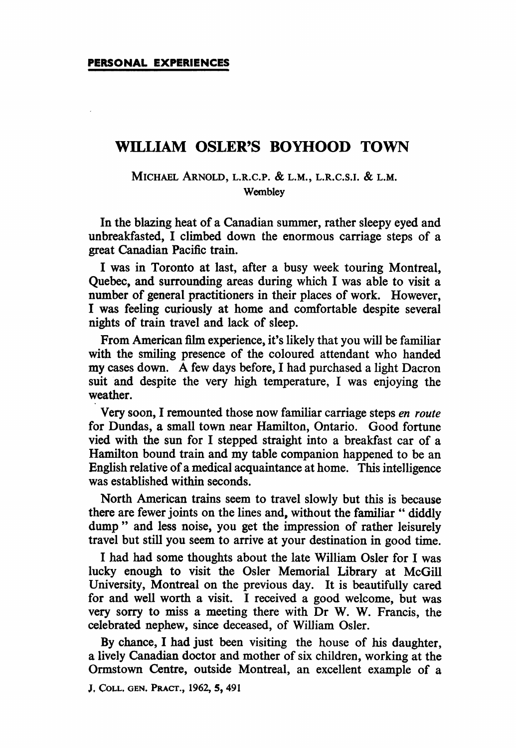## WILLIAM OSLER'S BOYHOOD TOWN

## MICHAEL ARNOLD, L.R.C.P. & L.M., L.R.C.S.I. & L.M. **Wembley**

In the blazing heat of a Canadian summer, rather sleepy eyed and unbreakfasted, <sup>I</sup> climbed down the enormous carriage steps of a great Canadian Pacific train.

<sup>I</sup> was in Toronto at last, after a busy week touring Montreal, Quebec, and surrounding areas during which <sup>I</sup> was able to visit a number of general practitioners in their places of work. However, I was feeling curiously at home and comfortable despite several nights of train travel and lack of sleep.

From American film experience, it's likely that you will be familiar with the smiling presence of the coloured attendant who handed my cases down. A few days before, <sup>I</sup> had purchased <sup>a</sup> light Dacron suit and despite the very high temperature, <sup>I</sup> was enjoying the weather.

Very soon, <sup>I</sup> remounted those now familiar carriage steps en route for Dundas, a small town near Hamilton, Ontario. Good fortune vied with the sun for I stepped straight into a breakfast car of a Hamilton bound train and my table companion happened to be an English relative of a medical acquaintance at home. This intelligence was established within seconds.

North American trains seem to travel slowly but this is because there are fewer joints on the lines and, without the familiar " diddly dump" and less noise, you get the impression of rather leisurely travel but still you seem to arrive at your destination in good time.

<sup>I</sup> had had some thoughts about the late William Osler for <sup>I</sup> was lucky enough to visit the Osler Memorial Library at McGill University, Montreal on the previous day. It is beautifully cared for and well worth a visit. <sup>I</sup> received a good welcome, but was very sorry to miss a meeting there with Dr W. W. Francis, the celebrated nephew, since deceased, of William Osler.

By chance, I had just been visiting the house of his daughter, a lively Canadian doctor and mother of six children, working at the Ormstown Centre, outside Montreal, an excellent example of a

J, COLL, GEN. PRACT., 1962, 5, 491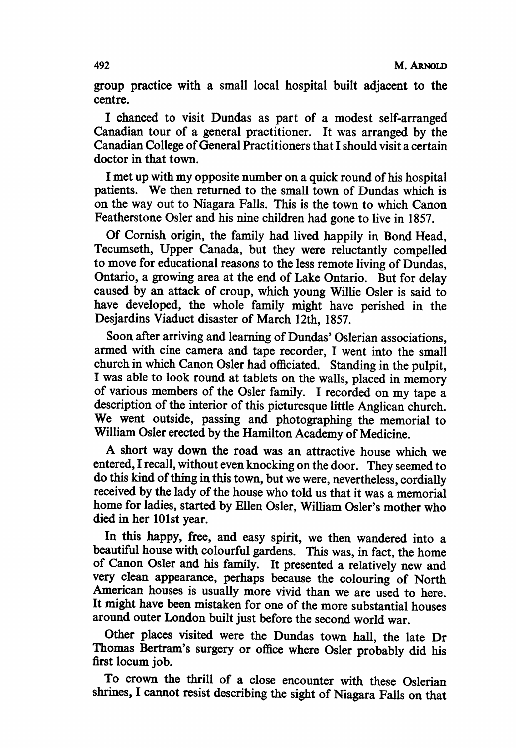group practice with a small local hospital built adjacent to the centre.

<sup>I</sup> chanced to visit Dundas as part of a modest self-arranged Canadian tour of a general practitioner. It was arranged by the Canadian College of General Practitioners that <sup>I</sup> should visit a certain doctor in that town.

<sup>I</sup> met up with my opposite number on a quick round of his hospital patients. We then returned to the small town of Dundas which is on the way out to Niagara Falls. This is the town to which Canon Featherstone Osler and his nine children had gone to live in 1857.

Of Cornish origin, the family had lived happily in Bond Head, Tecumseth, Upper Canada, but they were reluctantly compelled to move for educational reasons to the less remote living of Dundas, Ontario, a growing area at the end of Lake Ontario. But for delay caused by an attack of croup, which young Willie Osler is said to have developed, the whole family might have perished in the Desjardins Viaduct disaster of March 12th, 1857.

Soon after arriving and learning of Dundas' Oslerian associations, armed with cine camera and tape recorder, <sup>I</sup> went into the small church in which Canon Osler had officiated. Standing in the pulpit, <sup>I</sup> was able to look round at tablets on the walls, placed in memory of various members of the Osler family. <sup>I</sup> recorded on my tape a description of the interior of this picturesque little Anglican church. We went outside, passing and photographing the memorial to William Osler erected by the Hamilton Academy of Medicine.

A short way down the road was an attractive house which we entered, <sup>I</sup> recall, without even knocking on the door. They seemed to do this kind of thing in this town, but we were, nevertheless, cordially received by the lady of the house who told us that it was a memorial home for ladies, started by Ellen Osler, William Osler's mother who died in her 101st year.

In this happy, free, and easy spirit, we then wandered into a beautiful house with colourful gardens. This was, in fact, the home of Canon Osler and his family. It presented a relatively new and very clean appearance, perhaps because the colouring of North American houses is usually more vivid than we are used to here. It might have been mistaken for one of the more substantial houses around outer London built just before the second world war.

Other places visited were the Dundas town hall, the late Dr Thomas Bertram's surgery or office where Osler probably did his first locum job.

To crown the thrill of a close encounter with these Oslerian shrines, <sup>I</sup> cannot resist describing the sight of Niagara Falls on that